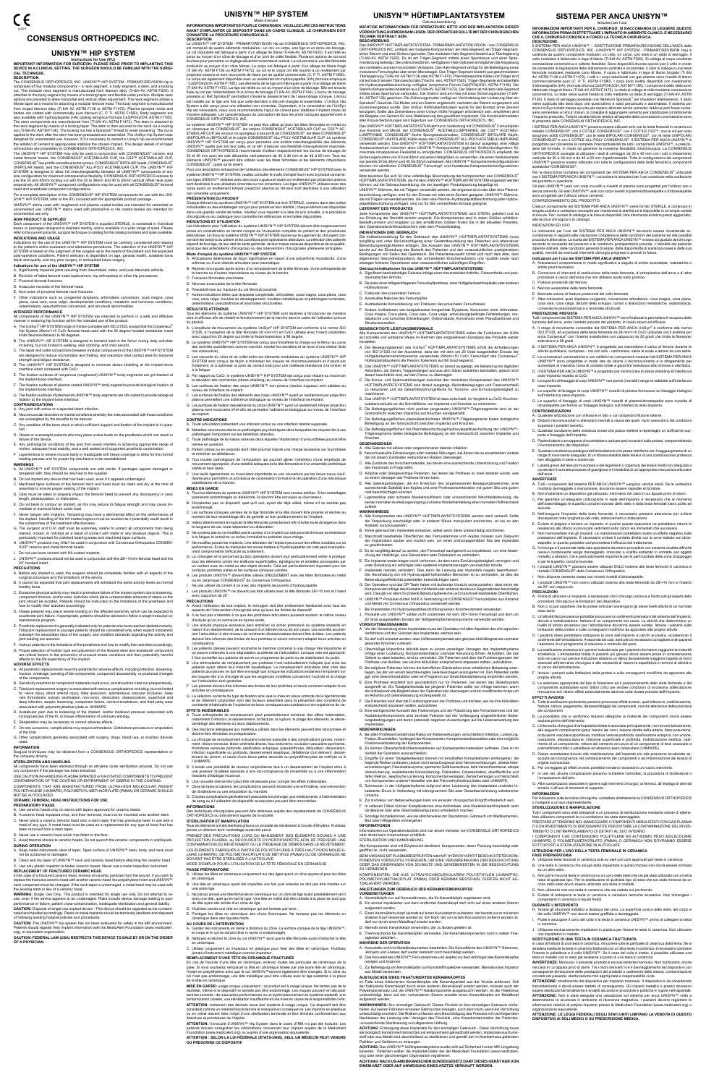# **CONSENSUS ORTHOPEDICS INC.**

# **UNISYN™ HIP SYSTEM**

INStructions for Use (IFU)<br>IMPORTANT INFORMATION FOR SURGEON: PLEASE READ PRIOR TO IMPLANTING THIS<br>DEVICE IN A CLINICAL SETTING. THE SURGEON SHOULD BE FAMILIAR WITH THE SURGI-**CAL TECHNIQUE.**

**DESCRIPTION<br>The CONSENSUS ORTHOPEDICS, INC. UNISYN™ HIP SYSTEM - PRIMARY/REVISION Hip is** The CONSENSUS ORTHOPEDICS, INC. UNISYN<sup>TH</sup> HIP SYSTEM - PRIMARY/REVISION Hip is comprised of four modular components – a neck segment, a body segment, a stem, and a locking tot. The modular neck segment is manufactured fro

connections are proprietary to CONSENISUS ORTHOPEDICS, INC.<br>The UNISYM<sup>na</sup> HIP SYSTEM may only be used in conjunction with CONSENSUS® creamic and<br>metal femoral heads, the CONSENSUS® ACETABULAR CUP, the CS2<sup>na</sup> ACETABULAR C

UNISYN™ stems used with roughened and plasma coated bodies are intended for cemented or<br>uncemented use. UNISYN™ stems used with plasma/HA or HA coated bodies are intended for<br>uncemented use only.

H**OW PRODUCT IS SUPPLIED**<br>Each component of the UNISYN™ HIP SYSTEM is supplied STERILE, is contained in individual<br>boxes or packages designed to maintain sterility, and is available in a wide range of sizes. Please<br>refer

**INDICATIONS AND USAGE**<br>Indications for the use of the UNISYN<sup>nu</sup> HIP SYSTEM must be carefully considered with respect<br>to the patient's entire evaluation and alternative procedures. The selection of the UNISYN<sup>nu</sup> HIP<br>SYS

- A. Significantly impaired joints resulting from rheumatoid, osteo, and post-traumatic arthritis. B. Revision of failed femoral head replacement, hip arthroplasty or other hip procedures.
- C. Proximal femoral fractures.
- D. Avascular necrosis of the femoral head.
- E. Non-union of proximal femoral neck fractures.
- F. Other indications such as congenital dysplasia, arthrodesis conversion, coxa magna, coxa<br>plana, coxa vara, coxa valga, developmental conditions, metabolic and tumorous conditions,<br>osteomalacia, pseudarthrosis conversion

- **INTENDED PERFORMANCE**<br>All components of the UNISYN™ HIP SYSTEM are intended to perform in a safe and effective<br>manner in restoring hip function within the intended use of the product.<br>A. The UniSyn<sup>®</sup> HIP SYSTEM range of
- Hip System 28mm/+10 CoCr femoral head used with the 20 degree hooded acetabular insert limits flexion/extension to 98 degrees.
- B. The UNISYN™ HIP SYSTEM is designed to transmit load to the femur during daily activities<br>including, but not limited to walking, stair climbing, and chair ascent.<br>C. The taper and collet connections between modular comp
- strength and fatigue resistance. D. The UNISYN™ HIP SYSTEM is designed to minimize stress shielding at the implant-bone
- interface when compared with CoCr. E. The fixation surfaces of nonporous (roughened) UNISYN™ body segments are grit blasted at
- the implant-bone interface. F. The fixation surfaces of plasma coated UNISYN™ body segments provide biological fixation at the implant-bone interface.
- G. The fixation surfaces of plasma/HA UNISYN™ body segments are HA coated to provide biological fixation at the implant-bone interface.

### B. Neuromuscular disorders or mental conditions whereby the risks associated with these conditions are outweighed by the benefits to be derived.

### **Indications for use of the UNISYN™ HIP SYSTEM**

- .......<br>pre any implant is used, the surgeon should be completely familiar with all aspects of the surgical procedure and the limitations of the device.
- B. It cannot be expected that joint replacements will withstand the same activity levels as normal
- healthy bone.<br>C. Excessive physical activity may result in premature failure of the implant system due to loosening.<br>Component fracture, and/or wear. Activities which place unreasonable amounts of stress on the<br>joint shoul
- D. Obese patients may place severe loading on the affected extremity which can be expected to accelerate joint failure. If appropriate, patients should be advised to follow a weight reduction or
- maintenance program.<br>E. Prosthetic replacement is generally indicated only for patients who have reached skeletal maturity.<br>Total joint replacement in younger patients should be considered only when explicit indications<br>ou
- Instruct patients on the limitations of the prosthesis and how to modify their activities accordingly
- G. Proper selection of fixation type and placement of the femoral stem and acetabular component are critical factors in the prevention of unusual stress conditions and their potentially harmful affects on the life expectancy of the implant.

ADVERSE EFFECTS<br>A. All prosthetic replacements have the potential for adverse effects, including infection, loosening,<br>fracture, breakage, bending of the components, component disassembly, or positional changes<br>of the comp

**CONTRAINDICATIONS** A. Any joint with active or suspected latent infection.

In the all ceramic particles from the wound. If you wish to replace the fractured ceramic head with another ceramic head, the polyethylene insert and UNISYN™ neck component must be changed. If the neck taper is undamaged, a metal head may be used with the existing stem in lieu of a ceramic head.

**WARNING:** Single Use Only: This product is intended for single use only. Do not attempt to re-<br>use, even if the device appears to be undamaged. Risks include device damage leading to poor<br>performance or failure, patient c

**CAUTION:** Disposal of single-use implant device - This device should be regarded as bio-contami-<br>nated and handled accordingly. Plastic or metal implants should be terminally sterilized and disposed<br>of following existing

**CAUTION:** The UNISYN™ hip system has not been evaluated for safety in the MR environment.<br>Patients should register their implant information with the MedicAlert Foundation (www.medicalert. org), or equivalent organization

- C. Any condition of the bone stock in which sufficient support and fixation of the implant is in question.
- D. Obese or overweight patients who may place undue loads on the prosthesis which can result in failure of the device. E. Any pathological conditions of the joint that would interfere in achieving appropriate range of
- motion, adequate head stability, and a well seated and supported prosthetic combination.<br>F. Ligamentous or severe muscle laxity or inadequate soft tissue coverage to allow for the normal<br>healing process and for proper hip
- **WARNINGS**
- A. All UNISYN™ HIP SYSTEM components are sold sterile. If packages appear damaged or tampered with, they should be returned to the supplier.
- B. Do not implant any device that has been used, even if it appears undamaged. C. Machined taper surfaces of the femoral stem and head must be clean and dry at the time of
- assembly to ensure proper seating of the implant. D. Care must be taken to properly impact the femoral head to prevent any discrepancy in neck length, disassociation, or dislocation.
- E. Do not bend or contour an implant, as this may reduce its fatigue strength and may cause im-mediate or eventual failure under load.
- F. Never tamper with implants. Tampering may have a detrimental affect on the performance of
- the implant. Handling of the HA treated regions must be avoided as it potentially could result in the compromise of the treatment effectiveness.
- G. The surgeon and O.R. staff must be extremely careful to protect all components from being<br>marred, nicked, or notched as a result of contact with metal or any abrasive objects. This is<br>particularly important for polished
- H. UNISYN™ products may ONLY be used in conjunction with Consensus Orthopedics CONSEN-SUS® ceramic and metal femoral heads.
- I. Do not use bone cement with HA coated implants.
- J. UNISYN™ products should not be used in conjunction with the 28/+10mm femoral head and the 20° hooded insert.

### **PRECAUTIONS**

LUMPFANNE, CONSENSUS® flache Spongiosaschrauben, CONSENSUS® BIPOLARE Köpfe,<br>CONSENSUS® UNIPOLARE Köpfe sowie der CONSENSUS® ALL-POLY-ACETABULUMPFANNE verwendet werden. Das UNISYN™ HÜFTIMPLANTATSYSTEM ist darauf ausgelegt, eine völlige Austauschbarkeit zwischen allen UNISYN™-Komponenten jeglicher Größenkonfiguration für<br>maximale intraoperative Flexibilität zu ermöglichen. CONSENSUS ORTHOPEDICS empfiehlt, die<br>Sicherungsmuttern von 30 und 45mm mit jenen H können mit sämtlichen CONSENSUS® Femurkopf- und Acetabular-Komponentenkonfigurationen

Bitte beziehen Sie sich für eine vollständige Beschreibung der Komponenten des CONSENSUS®<br>HUFTIMPLANTATSYSTEMS, die mit dem UNISYN™ HÜFTIMPLANTATSYSTEM eingesetzt werden<br>können, auf die Gebrauchsanleitung, die der jeweili

die mit Trägern verwendet werden, die über eine Plasma-/Hydroxylapatitbeschichtung oder Hydrox-ylapatitbeschichtung verfügen, sind nur für den zementfreien Einsatz geeignet. **LIEFERART DES PRODUKTES**<br>Jede Komponente des UNISYN™ HÜFTIMPLANTATSYSTEMS wird STERIL geliefert und ist zur Erhaltung der Sterilität einzeln verpackt. Die Komponenten sind in vielen Größen erhältlich.<br>Bestellnummern und Angaben zu den erhältlichen Größen finden Sie in der aktuellen Preisliste,<br>den Operationstechnikhandbücher den Operationsteur undukumplementer.<br>**INDIKATIONEN UND GEBRAUCH**<br>The discrimentallung für den Gebrauch des UNISYN<sup>TM</sup> HÜFTIMPLANTATSYSTEMS muss

Die Indikationssellung für den Gebrauch des UNISYN™ HÜFTIMPLANTATSYSTEMS muss<br>sorgfältig und unter Berücksichtigung einer Gesamtbeurteilung des Patienten und alternativer<br>Behandlungsmöglichkeiten erfolgen. Die Auswahl des

**Gebrauchsindikationen für das UNISYN™ HUFT-IMPLANTATSYSTEMS**<br>A. Signifikant beeinträchtigte Gelenke infolge einer rheumatoiden Arthritis, Osteoarthritis und post-<br>traumatischen Arthritis. B. Revision einer fehlgeschlagenen Femurkopfprothese, einer Hüftgelenksarthroplastik oder anderen

F. Andere Indikationen wie beispielsweise kongenitale Dysplasie, Konversion einer Arthrodese,<br>Coxa magna, Coxa vara, Coxa vara, Coxa valga, entwicklungsbedingte Fehlstellungen, me-<br>tabolische und tumoröse Erkrankungen, Ost

Alle Komponenten des UNISYN™ HUFTIMPLANTATSYSTEMS sollen die Funktionen der Hüfte<br>auf schnelle und wirksame Weise im Rahmen des vorgesehenen Einsatzes des Produkts wieder

D. Das UNISYN™ HUFTIMPLANTATSYSTEM ist dazu entwickelt, im Vergleich zu CoCr Knochensuerluste an der Schnittfläche von Implantat und Knochen-<br>E. Die Befestigungsflächen nicht poröser (angerauter) UNISYN™-Trägersegmente si F. Die Befestigungsflächen plasmabeschichteter UNISYN™-Trägersegmente bieten biologische

G. Die Befestigungsflächen mit Plasmabeschichtung/Hydroxylapatitbeschichtung der UNISYN™-<br>Trägersegmente bieten biologische Befestigung an der Grenzschicht zwischen Implantat und<br>Knochen.

- B. Sensitivity reactions to component materials could occur, and should be ruled out preoperatively.
- 
- C. Total joint replacement surgery is associated with serious complications including, but not limited<br>to: nerve injury, direct arterial injury, false aneurysm, spontaneous vascular occlusion, deep<br>vein thrombosis, ectopic
- D. Acetabular pain due to loosening of the implant, and/or localized pressure associated with incongruencies of the fit, or tissue inflammation of unknown etiology.
- E. Reoperation may be necessary to correct adverse effects.
- On rare occasions, complications may require arthrodesis, Girdlestone procedure or amputation of the limb.
- G. Other complications generally associated with surgery, drugs, blood use, or ancillary devices used.

B. Neuromuskuläre Erkrankungen oder mentale Störungen, bei denen die zu erwartenden Vorteile die mit diesen Zuständen verbundenen Risiken überwiegen. C. Alle Zustände des Knochenmaterials, bei denen eine ausreichende Unterstützung und Fixation des Implantats in Frage steht. D. Adipöse oder übergewichtige Patienten, bei denen die Prothese zu stark belastet würde, was zu einem Versagen der Prothese führen kann. E. Alle Gelenkpathologien, die ein Erreichen des angemessenen Bewegungsbereiches, eine ausreichende Stabilität des Kopfes und eine Prothesenkombination mit gutem Sitz und gutem Halt beeinträchtigen könnten.<br>F. Ligamentöse oder schwere Muskelinsuffizienz oder unzureichende Weichteilabdeckung, die<br>keinen normalen Ausheilungsvorgang und keine Wiederherstellung einer normalen Hüftmechanik

### **INFORMATION**

ues may be obtained from a CONSENSUS ORTHOPEDICS representative or Stirgical techniques<br>the company directly

### **STERILIZATION AND HANDLING**

B. Keine gebrauchten Implantate einsetzen, selbst wenn diese unbeschädigt erscheinen C. Maschinell bearbeitete Oberflächen des Femurstammes und -kopfes müssen zum Zeitpunkt der Implantation sauber und trocken sein, um einen ordnungsgemäßen Sitz des Implantats

All components have been sterilized through an ethylene oxide sterilization process. Do not use any component if the package has been breached.

USE CAUTION IN HANDLING PLASMA SPRAYED or HA COATED COMPONENTS TO PREVENT CONTAMINATION OF THE COATING OR ENTRAPMENT OF DEBRIS IN THE COATING.

COMPONENTS THAT ARE MANUFACTURED FROM ULTRA-HIGH MOLECULAR WEIGHT POLYETHYLENE (UHMWPE), POLYMETHYL-METHACRYLATE (PMMA) OR CERAMIC SHOULD NOT BE AUTOCLAVED.

## **CERAMIC FEMORAL HEAD INSTRUCTIONS FOR USE PREPARATORY PHASE**

A. Use ceramic heads only on stems with tapers approved for ceramic heads.

I. Bei Implantaten mit Hydroxylapatitbeschichtung keinen Knochenzement verwenden. J. Produkte von UNISYN™ sollten nicht zusammen mit dem 28/+10mm Femurkopf und dem um 20 Grad ausgestellten Einsatz der Hüftgelenkpfannenkomponente verwendet werden. **VORSICHTSMASSNAHMEN<br>A. Vor der Verwendung eines Implantates muss der Operateur mit allen Aspekten des chirurgischen<br>Ortahrens und den Grenzen des Implantates vertraut sein.** B. Es darf nicht erwartet werden, dass Hüftersatzimplantate den gleichen Aktivitätsgrad wie normaler gesunder Knochen zulassen. C. Ubermäßige körperliche Aktivität kann zu einem vorzeitigen Versagen des Implantatsystems<br>infolge einer Lockerung, Komponentenfraktur und/oder Abnutzung führen. Aktivitäten, die das<br>Gelenk zu stark belasten, sind zu verm

- B. A ceramic head impacted once, and then removed, must not be mounted onto another stem.
- C. Never place a ceramic femoral head onto a stem taper that has previously been in use with a head of any type. A metal head must be used as a replacement for any type of head that has been removed from a stem taper.
- D. Never use a ceramic head which has fallen to the floor.
- E. Avoid thermal shocks to ceramic heads. Do not quench the ceramic components in cold liquids.
- 
- **DURING OPERATION**<br>A. Keep metal instruments clear of taper. Taper surface of UNISYN™ stem, body, and neck must<br>not be scratched or damaged. B. Clean and dry taper of UNISYN™ neck and ceramic head before attaching the ceramic head.
- 
- C. Use only plastic impactor to fasten ceramic heads. Never use a metal impaction instrument.
- D. Bei adipösen Patienten können die betroffenen Gliedmaßen einer erheblichen Belastung unterliegen, bei der von einem beschleunigten Gelenkversagen auszugehen ist. Den Patienten sollte<br>gef. eine Gewichtsreduktion oder ein Programm zur Gewichtsstabilisierung empfohlen werden.
- ggf. eine Gewichtsreduktion oder ein Programm zur Gewichtsstabilisierung empfohlen werden.<br>E. Eine Prothese empfiehtl sich grundsätzlich nur für Patienten, bei denen das Skelettsystem<br>ausgereift ist. Ein Totalgelenkersatz
- F. Die Patienten sind über die Funktionsgrenzen der Prothese und darüber, wie sie ihre Aktivitäten entsprechend anpassen sollten, aufzuklären.
- G. Eine sachgerechte Auswahl des Fixationstyps und der Platzierung des Femurstammes und der Acetabulumkomponente sind zentrale Faktoren bei der Vorbeugung ungewöhnlicher Belas-tungsbedingungen und deren potenziell negativen Auswirkungen auf die Lebenserwartung des Implantates.<br>NEBENWIRKLINGEN

- **NEBENWIRKUNGEN**<br>Fie i allen Prothesen besteht das Risiko von Nebenwirkungen, einschließlich Infektion, Lockerung,<br>Fraktur, Bruchstellen, Verbiegen der Komponenten, Komponentendissoziation oder eine mögliche<br>Positionsverän
- B. Es können Überempfindlichkeitsreaktionen auf Kompone Vorfeld der Operation auszuschließen.
- C. Eingriffe für einen Totalgelenkersatz können mit ernsthaften Komplikationen einhergehen, die .<br>Inde Risiken umfassen, jedoch nicht darauf begrenzt sind: Nervenverletzungen, dire<br>erletzungen, Pseudoaneurysma, spontaner Gefäßverschluss, tiefe Venenthrombos ienverletzungen, Pseudoaneurysma, spontaner Gefäßverschluss, tiefe Venenthrombose, ektope Verknöcherung, ausbleibende Konsolidierung, Dislokation, Disassoziation, oberflächliche und tiefe Infektion, aseptische Lockerung, Komponentenversagen, Zementversagen und Verschleiß von Komponenten anderer Hersteller wie des Polymethylmethacrylates oder UHMWPE.
- D. Schmerzen in der Hüftgelenkpfanne aufgrund einer Lockerung des Implantates und/oder lo-kalisierter Druck in Verbindung mit inkongruentem Sitz oder Gewebeentzündung unbekannter
- Ursache. E. Zur Korrektur von Nebenwirkungen kann ein erneuter chirurgischer Eingriff erforderlich sein.
- F. In seltenen Fällen können Komplikationen eine Arthrodese, eine Resektionsarthroplastik nach Girdlestone oder eine Gliedmaßenamputation erforderlich machen.
- G. Sonstige Komplikationen, wie sie üblicherweise mit Operationen, Gebrauch von Medikamenten, Hilfsgeräten einhergeher

### **REPLACEMENT OF FRACTURED CERAMIC HEAD**

Informationen zur Operationstechnik sind von einem Vertreter von CONSENSUS ORTHOPEDICS oder direkt beim Unternehmen erhältlichten Ernehmen und

STERILISATION UND HANDHABUNG<br>Alle Komponenten sind mit Ethylenoxid sterilisiert. Komponenten, deren Packung beschädigt oder<br>geöffnet ist, nicht verwenden.

**CAUTION: FEDERAL LAW (USA) RESTRICTS THIS DEVICE TO SALE BY OR ON THE ORDER OF A PHYSICIAN.**

les risques liés à la chirurgie e<br>sur l'articulation sont garanties

# **UNISYN™ HÜFTIMPLANTATSYSTEM**

# Gebrauchsanleitung<br>VORRICHTUNG AUFMERKSAM FÜR OPERATEURE: BITTE VOR DER IMPLANTATION DIESER<br>YORRICHTUNG AUFMERKSAM LESEN. DER OPERATEUR SOLLTE MIT DER CHIRURGISCHEN<br>TECHNIK VERTRAUT SEIN.

**BESCHREIBUNG**<br>Das UNISYN™ HÜFTIMPLANTATSYSTEM - PRIMÄRIMPLANTAT/REVISION - von CONSENSUS∣ ORTHOPEDICS INC. unfassi vier modulare Komponenten: ein Hals-Segment, ein Träger-Segment, ein Träger-Segment,<br>einen Stamm und eine Sicherungsmutter. Das modulare Hals-Segment besteht aus Titanlegierung<br>(Ti-6Al-4V, ASTM F62 mit Hydroxylapatitbeschichtung verfügbar (empirische Formel Ca5(PO4)3OH, ASTM F1185). Die n-Komponenten bestehen aus (Ti 6Al-4V, ASTM F1472). Der Stamm ist mit dem Hals-S mittels eines Sperrkonus verbunden. Der Stamm wird am Hals mit einer Sicherungsmutter (Ti 6Al-4V, ASTM F136) gesichert. Die Sicherungsmutter verfügt zur Verhinderung der Lockerung über ein<br>Spiralock®-Gewinde. Die Mutter wird am Stamm angebracht, nachdem der Stamm vorgespannt und zusammengebaut wurde. Das UniSyn Hüftimplantatsystem wurde für den Einsatz ohne Zement konzipiert. Sollte das Zementieren einer Unisyn Hüfte hingegen erforderlich sein, empfehlen wird die Beigabe von Zement für eine Stabilisierung des gewählten Implantats. Die Konstruktionsdaten aller Konus-Verbindungen sind Eigentum von CONSENSUS ORTHOPEDICS, INC. Das UNISYN™ HÜFTIMPLANTATSYSTEM darf nur in Verbindung mit CONSENSUS® Femurköpfen<br>aus Keramik und Metall, der CONSENSUS® ACETABULUMPFANNE, der CS2™ ACETABU-

Im Falle eines frakturierten Keramikkopfes alle Keramikpartikel aus der Wunde entfernen. Soll der frakturierte Keramikkopf durch einen anderen Keramikkopf ersetzt werden, müssen auch der Polyethyleneinsatz und die UNISYN™-Halskomponente ausgetauscht werden. Ist der Halskonus<br>unbeschädigt, kann auf den vorhandenen Stamm anstelle eines Keramikkopfes ein Metallkopf<br>aufgesetzt werden.

**ACHTUNG:** Das UNISYN™ Hüftimplantatsystems wurde nicht auf Sicherheit in einer MR-Umgebung<br>bewertet. Patienten sollten die Implantat-Daten bei der MedicAlert Foundation (www.medicalert. org) oder einer gleichwertigen Organisation registrieren.

**SISTEMA PER ANCA UNISYN™** Istruzioni per l'uso INFORMAZIONI IMPORTANTI PER IL CHIRURGO: SI RACCOMANDA DI LEGGERE QUESTE<br>INFORMAZIONI PRIMA DI EFFETTUARE L'IMPIANTO IN AMBIENTE CLINICO. È NECESSARIO<br>CHE IL CHIRURGO CONOSCA A FONDO LA TECNICA CHIRURGICA. **DESCRIZIONE**<br>II SISTEMA PER ANCA UNISYN™ – SOSTITUZIONE PRIMARIA/REVISIONE DELL'ANCA della

CONSENSUS ORTHOPEDICS, INC. (UNISYN<sup>W</sup> HIP SYSTEM - PRIMARY/REVISION Hip) è constituto da quattro componenti modulari: un collo, un corpo, uno stelo e un dado di serraggio. Il collo modulare è fabbricato in lega di titanio

I SISTEMI PER ANCA UNISYN<sup>I wa</sup> possono essere utilizzati solo con le teste femorali in ceranica e metallo CONSENSUS®, con il COTILE CONSENSUS®, con il COTILE CS2<sup>n4</sup>, con le titi per osso<br>spugnoso sottili CONSENSUS®, con

Per la descrizione completa dei componenti del SISTEMA PER ANCA CONSENSUS® utilizzabili<br>con il SISTEMA PER ANCA UNISYN™, consultare le istruzioni per l'uso contenute nella confezione

Gli steli UNISYN™ usati con corpi irruviditi e rivestiti di plasma sono progettati per l'utilizzo con o<br>senza cemento. Gli steli UNISYN™ usati con corpi rivestiti di plasma/idrossiapatite o d'idrossiapatite senza cemento. Gli steli UNISYN™ usati con corpi rivestiti di plasma/idrossiapatite o d'idrossiapatite<br>sono progettati per l'utilizzo senza cemento.

verwendet werden.

Ciascun componente del SISTEMA PER ANCA UNISYN™ viene fornito STERILE, è contenuto in singole scatole o confezioni concepite per mantenere la sterilità ed è disponibile in un'ampia varietà<br>di misure. Per i numeri di catalogo e le misure disponibili, fare riferimento al listino prezzi aggiornato,<br>alla tecnic

curatamente in rapporto alla valutazione complessiva delle condizioni del paziente ed alle possibili<br>procedure alternative. La scelta del SISTEMA PERANCA UNISYN™ si basa sul giudizio del chirurgo<br>secondo le necessità del

F. Altre indicazioni quali displasia congenita, conversione artrodesica, coxa magna, coxa plana, coxa vara, coxa valga, disturbi dello sviluppo, tumori o disfunzioni metaboliche, osteoma

F. Le superfici di fissaggio di corpi UNISYN™ rivestiti di plasma forniscono un fissaggio biologico sull'interfaccia osso-impianto.<br>G. Le superfici di fissaggio di corpi UNISYN™ rivestiti di plasma/idrossiapatite sono rivestite di<br>i idrossiapatite per fornire un fissaggio biologico sull'interfaccia osso-impianto.

Hüftrevisionen. C. Frakturen des proximalen Femurs. D. Avaskuläre Nekrose des Femurkopfes.

herstelle

E. Ausbleibende Konsolidierung von Frakturen des proximalen Femurhalses.

CONTROINDICAZIONI<br>B. Disturbi neuromuscone con infezione in atto o con sospetta infezione latente.<br>B. Disturbi neuromuscolari o alterazioni mentali a causa dei quali i rischi associati a tali condizioni<br>superano i possibil C. Qualsiasi condizione della sostanza ossea che possa mettere a repentaglio un sufficiente sup-

D. Pazienti obesi o sovrappeso che potrebbero caricare pesi eccessivi sulla protesi, compromettendo il funzionamento del dispositivo. E. Qualsiasi condizione patologica dell'articolazione che possa interferire con il raggiungimento di un range di movimento adeguato, di un'idonea stabilità della testa e di una combi

**BEABSICHTIGTE LEISTUNGSMERKMALE**

A. Der Bewegungsbereich des UniSyn® HÜFTIMPLANTATSYSTEMS erfüllt die Anforderungen von ISO 21535 mit der Ausnahme, dass der mit dem um 20 Grad ausgestellten Einsatz der

Hüftgelenkpfannenkomponente verwendete 28mm/+10 CoCr Femurkopf des Consensus®<br>Hüftimplantatsystems die Flexion/Extension auf 98 Grad begrenzt.<br>B. Das UNISYN™ HÜFTIMPLANTATSYSTEMS ist darauf ausgelegt, die Belastung bei tä

**PRECAUZIONI**<br>A. Prima di utilizzare un impianto, è necessario che il chirurgo conosca a fondo tutti gli aspetti della<br>procedura chirurgica e le limitazioni del dispositivo. B. Non ci si può aspettare che le protesi articolari sostengano gli stessi livelli attività di un normale

C. Un'attività fisica eccessiva potrebbe provocare un cedimento prematuro del sistema dell'impianto,<br>dovuto a mobilizzazione, frattura di un componente e/o usura. Le attività che determinano un<br>livello di sforzo eccessivo

Befestigung an der Grenzschicht zwischen Implantat und Knochen.

D. I pazienti obesi potrebbero sottoporre la zona dell'impianto a carichi eccessivi, accelerando il<br>cedimento dell'articolazione. A seconda dei casi, sarà perciò necessario consigliare a tali pazienti<br>l'adozione di un prog E. La sostituzione protesica è in genere indicata solo per i pazienti che hanno raggiunto la maturità scheletrica. L'artroplastica totale in pazienti più giovani dovrà essere presa in considerazione solo nei casi in cui precise indicazioni abbiano un rilievo decisamente maggiore rispetto ai rischi associati all'intervento chirurgico e alla necessità di ridurre le aspettative in termini di attività e

**GEGENANZEIGEN**

A. Alle Gelenke mit aktiver oder angenommener latenter Infektion.

-----<br>tituzioni protesiche possono provocare effetti avversi, quali infezione, mobilizzazione, frattura, rottura, piegamento, disassemblaggio dei componenti, nonché alterazioni della posizione

zulässt. **WARNHINWEISE**

A. Alle Komponenten des UNISYN™ HÜFTIMPLANTATSYSTEMS werden steril verkauft. Sollte die Verpackung beschädigt oder in anderer Weise manipuliert erscheinen, ist sie an den

Anbieter zurückzusenden.

zu gewährleist

D. Es ist sorgfältig darauf zu achten, den Femurkopf sachgerecht zu impaktieren, um eine Abweichung der Halslänge, eine Dissoziation oder Dislokation zu verhindern.<br>E. Ein Implantat weder biegen noch verformen, da dies seine Ermüdungsfestigkeit verringern und<br>unter Belastung ein sofortiges oder späteres Implantatv F. Implantate niemals verändern. Dies kann die Leistung des Implantats negativ beeinflussen. Die Handhabung von mit Hydroxyapatit behandelten Bereichen ist zu vermeiden, da dies die

G. Der Operateur und das OP-Team haben mit äußerster Vorsicht sicherzustellen, dass keine der Komponenten infolge des Kontakts mit betander anderen abrasiven Gegenständen beschädigt<br>Komponenten infolge des Kontakts mit Me

In caso di frattura di una testa in ceramica, rimuovere tutte le particelle di ceramica dalla ferita. Se si desidera sostituire la testa in ceramica fratturata con un'altra testa in ceramica, è necessario cambiare l'inserto in polietilene e il collo UNISYN™. Se il cono del collo è intatto, è possibile utilizzare una<br>testa in metallo con lo stelo già esistente al posto di una testa in ceramica.

testa in metallo con lo stelo già esistente al posto di una testa in ceramica.<br>**AVVERTENZE:** Monouso: il presente prodotto è esclusivamente monouso. Non riuttilizzarlo, anche<br>nel caso in cui appaia privo di danni. Tra i ri

**ATTENZIONE:** Non è stata eseguita una valutazione sul sistema per anca UNISYN™ volta a<br>determinarne la sicurezza in ambiente di risonanza magnetica. I pazienti devono registrare le<br>informazioni relative al proprio impian

Behandlungseffektivität potentiellen beeinträchtigen kann.

und Metall von Consensus Orthopedics verwendet werden.

Les tiges UNISYN™ utilisées avec des corps rugueux et ayant un revêtement par projection plasma<br>sont destinées à une utilisation cimentée ou non cimentées. Les tiges UNISYN™ utilisées avec des<br>corps ayant un revêtement HA ntée uniquement **PRÉSENTATION DU PRODUIT**

Chaque élément du système UNISYN™ HIP SYSTEM est livré STERILE, contenu dans des boîtes<br>individuelles ou des emballages conçus pour préserver leur stérilité ; chaque élément est disponible<br>dans une grande variété de taill

INDICATIONS ET UTILISATION<br>Les indications pour l'utilisation du système UNISYN<sup>744</sup> HIP SYSTEM doivent être soigneusement<br>prises en considération en tenant compte de l'évaluation complète du patient et des procédures<br>alte **Mode d'emploi du système UNISYN™ HIP SYSTEM**

### **INFORMATIONEN**

BEIM UMGANG MIT PLASMABESPRÜHTEN oder MIT HYDROXYAPATIT BESCHICHTETEN KOM-PONENTEN VORSICHTIG VORGEHEN, UM EINE VERUNREINIGUNG DER BESCHICHTUNG ODER DAS EINDRINGEN VON SCHMUTZ UND GEWEBERESTEN IN DIE BESCHICHTUNG ZU VERMEIDEN.

KOMPONENTEN, DIE AUS ULTRAHOCHMOLEKULAREM POLYETHYLEN (UHMWPW), POLYMETHYLMETHACRYLAT (PMMA) ODER KERAMIK BESTEHEN, DÜRFEN NICHT AU-TOKLAVIERT WERDEN.

## **ANLEITUNGEN ZUM GEBRAUCH DES KERAMIKFEMURKOPFES**

**VORBEREITUNGEN** A. Keramikköpfe nur auf Konusstämmen, die für Keramikköpfe zugelassen sind,

- B. Ein einmal impaktierter und dann entfernter Keramikkopf darf nicht auf einen anderen Stamm aufgesetzt werden.<br>C. Einen Keramikfem
- C. Einen Keramikfemurkopf niemals auf einen Konusstamm aufsetzen, der bereits zuvor mit einem<br>anderen Kopf verwendet worden ist. Ein Kopf, der von einem Konusstamm entfernt worden ist,<br>darf nur durch einen Metallkopf erset
- D. Niemals einen Keramikkopf verwenden, der zu Boden gefallen ist.
- Thermoschocks bei Keramikköpfen vermeiden. Die Keramikkomponenten nicht in kalten Flüssigkeiten abkühlen.

### **WÄHREND DER OPERATION**

- A. Konusteile nicht mit Metallinstrumenten bearbeiten. Die Konusfläche des UNISYN™-Stammes,<br>-Körpers und -Halses darf weder zerkratzt noch beschädigt werden.
- B. Das Konusteil des UNISYN™ Femurstammes und -kopfes vor dem Anbringen des Keramikkopfes einigen und trocknen
- C. Zur Befestigung von Keramikköpfen nur Kunsts

# aus Metall verwenden **AUSTAUSCHEN EINES FRAKTURIERTEN KERAMIKKOPFES**

- F. Les patients doivent être informés des limites de leur prothèse et savoir comment adapter leurs en conséquence.<br>Inités en conséque
- G. La sélection correcte du type de fixation ainsi que la mise en place correcte de la tige fémorale<br>et de l'élément cotyloïdien sont des facteurs essentiels dans la prévention des conditions de<br>contrainte inhabituelle de **EFFETS INDÉSIRABLES**
- **A. Toute**<br>astie de remplacement peut potentiellement entraîner des effets indésirables notamment l'infection, le desserrement, la fracture, la rupture, le pliage des éléments, le désassemblage des éléments ou leurs déplacements.
- B. Des réactions allergiques aux matériaux utilisés dans les éléments peuvent être rencontrées et doivent être éliminées en préopératoire.
- C. La chirurgie de remplacement articulaire total est associée à des complications graves, notamment : lésion nerveuse, lésion artérielle directe, faux anévrisme, occlusion vasculaire spontanée, thermothose veineuse profon
- D. Il existe une possibilité de douleur cotyloïdienne due à un desserrement de l'implant et/ou à une pression localisée associée à une non-congruence de l'ensemble ou à une inflammation tissulaire d'étiologie inconnue.
- E. Une nouvelle intervention peut être nécessaire pour corriger les effets indésirables.
- F. Dans de rares occasions, les complications peuvent nécessiter une arthrodèse, une intervention de Girdlestone ou une amputation du membre.
- G. D'autres complications généralement associées à la chirurgie, aux médicaments, à l'administration de sang ou à l'utilisation de dispositifs accessoires peuvent être rencontrées. **INFORMATIONS**
- ی**.**<br>I chirurgicales peuvent être obtenues auprès des représentants de CONSENSUS Des tecninques d<br>OPTHOPEDICS

**WARNHINWEIS:** Nur einmaliger Gebrauch: Dieses Produkt ist dem einmaligen Gebrauch vorbehalten. Auf keinen Fall einen erneuten Gebrauchen erwägen, auch dann nicht, wenn die Vorrichtung unbeschädigt erscheint. Die Risiken umfassen eine Beschädigung des Produkts mit nachfolgendem

Nachlassen der Leistung oder Versagen des Produkts, eine Kreuzkontamination der Patienten,<br>-unzureichende Sterilisierung und allgemeine Haftung.<br>-unzureichende Sterilisierung und allgemeine Haftung.<br>ACHTUNG: Entsorgung ein

**ACHTUNG: NACH US-AMERIKANISCHEM BUNDESGESETZ DARF DIESES GERÄT NUR VON EINEM ARZT ODER AUF ANWEISUNG EINES ARZTES VERKAUFT WERDEN.**

- z les têtes en céramique uniquement sur des tiges ayant un cône approuvé pour les têtes
- en céramique. B. Une tête en céramique ayant été impactée une fois puis enlevée ne doit pas être montée sur une autre tige.
- C. Ne placez jamais une tête fémorale en céramique sur un cône de tige ayant préalable c une tête, quel qu'en soit le type. Une tête en métal doit être utilisée à la place de tout type de tête ayant été retirée d'un cône de tige.
- D. N'utilisez jamais une tête en céramique qui est tombée par terre.
- E. Protégez les têtes en céramique des chocs thermiques. Ne trempez pas les éléments en

- céramique dans des liquides froids.<br>**AU COURS DE L'INTERVENTION**<br>A. Gardez les instruments en métal à distance du cône. La surface conique de la tige UNISYN™,<br>· le corps et le col ne doivent être ni rayés ni endommagés.
- B. Nettoyez et séchez le cône du col UNISYN™ ainsi que la tête fémorale avant d'attacher la tête en céramique.
- C. Utilisez uniquement un impacteur en plastique pour fixer des têtes en céramique. N'utilisez jamais d'instrument métallique comme impacteur.<br>REMPLACEMENT D'UNE TÊTE EN CÉRAMIQUE FRACTURÉE

REMPLACEMENT D'UNE TETE EN CERAMIQUE FRACTUREE<br>En cas de fracture d'une tête en céramique, enlevez toutes les particules de céramique de la<br>plaie. Si vous souhaitez remplacer la tête en céramique brisée par une autre tête

**MISE EN GARDE:** usage unique uniquement : ce produit est à usage unique. Ne tentez pas de le réutiliser, même si le dispositif ne semble pas être endommagé. Les risques pouvant en découler<br>sont les suivants : de mauvaises performances ou un dysfonctionnement du système implanté, une<br>contamination croisée, une stér del prodotto in questione.

CONFEZIONAMENTO DEL PRODOTTO

INDICAZIONI ED USO

**Indicazioni per l'uso del SISTEMA PER ANCA UNISYN™**

A. Articolazioni compromesse in modo significativo a seguito di artrite reumatoide, osteoartrite o

artrite post-traumatica.

B. Correzione di interventi di sostituzione della testa femorale, di artroplastica dell'anca o di altre

procedure a carico dell'anca che non abbiano avuto esito positivo.

C. Fratture prossimali del femore. D. Necrosi avascolare della testa femorale. E. Mancata unione di fratture prossimali del collo femorale.

conversione pseudoartrosica o anomalie strutturali.

**PRESTAZIONE PREVISTA**

Tutti i componenti del SISTEMA PER ANCA UNISYN™ sono finalizzati a permettere il recupero della funzione dell'anca, entro l'ambito previsto del prodotto, in modo sicuro ed efficace.

A. Il range di movimento consentito dal SISTEMA PER ANCA UniSyn® è conforme alla norma<br>ISO 21535, ad ecoezione della testa femorale da 28 mm/+10 CoCr utilizzata con il sistema per<br>anca Consensus® con l'inserto acetabolare

estensione a 98 gradi.

B. Il SISTEMA PER ANCA UNISYN™ è progettato per trasmettere il carico al femore durante le

attività quotidiane, compreso - ma non solo - camminare, salire le scale e alzarsi da una sedia.<br>C. Le connessioni conometriche e con colletto tra i componenti modulari del SISTEMA PCR ANCA<br>UNISYN™ sono progettate in modo

E. Le superfici di fissaggio di corpi UNISYN™ non porosi (irruviditi) vengono sabbiate sull'interfaccia

osso-impianto.

porto e fissaggio dell'impianto.

ben alloggiata in sede e sostenuta.

F. Lassità grave del tessuto muscolare o dei legamenti o copertura dei tessuti molli non adeguata a consentire il normale processo di guarigione e il ristabilirsi di un'appropriata meccanica articolare

dell'anca. **AVVERTENZE**

A. Tutti i componenti del sistema PER ANCA UNISYN™ vengono venduti sterili. Se le confezioni risultano danneggiate o manomesse, dovranno essere rispedite al fornitore. B. Non impiantare un dispositivo già utilizzato, nemmeno nel caso in cui appaia privo di danni. C. Per garantire un'adeguata collocazione in sede dell'impianto è necessario che al momento dell'assemblaggio le superfici coniche lavorate dello stelo e della testa femorali siano pulite ed asciutte. D. Nell'eseguire l'impianto della testa femorale, è necessario prestare attenzione per evitare

discrepanze nella lunghezza del collo, distaccamenti o dislocazioni.

E. Evitare di piegare o torcere un impianto, in quanto queste operazioni ne potrebbero ridurre la resistenza allo sforzo e provocare cedimenti sotto carico sia immediati che successivi. F. Non manomettere mai gli impianti. Le manomissioni potrebbero avere un effetto negativo sulle<br>prestazioni dell'impianto. È necessario evitare il contatto diretto con le zone trattate con idros-<br>siapatite, in quanto pot G. Il chirurgo e il personale della sala operatoria dovranno procedere con estrema cautela affinché nessun componente venga danneggiato, intaccato o scalfito entrando in contatto con oggetti metallici o abrasivi. Ciò è particolarmente importante per le parti lucidate delle zone di appoggio

H. I prodotti UNISYN™ possono essere utilizzati SOLO insieme alle teste femorali in ceramica e<br>metallo CONSENSUS® della Consensus Orthopedics.

e per le superfici coniche lavorate.

I. Non utilizzare cemento osseo con innesti rivestiti d'idrossiapatite.

Le indicazioni per l'uso del SISTEMA PER ANCA UNISYN™ dovranno essere con

J. I prodotti UNISYN™ non vanno utilizzati insieme alla testa femorale da 28/+10 mm e l'inserto

da 20° con cappuccio.

osso sano.

di carico dell'articolazione.

F. Istruire i pazienti sulle limitazioni della protesi e sulle conseguenti modifiche da apportare alle

proprie attività. G. La selezione appropriata del tipo di fissazione ed il posizionamento dello stelo femorale e del componente acetabolare sono fattori critici per evitare condizioni di eccessiva sollecitazione meccanica ed i relativi effetti potenzialmente dannosi sulla durata prevista dell'impianto.

### **EFFETTI AVVERSI**

- dei componenti. B. La possibilità che si verifichino reazioni allergiche ai materiali dei componenti dovrà essere esclusa prima dell'intervento.
- C. L'intervento chirurgico di artroplastica totale è associato principalmente, ma non esclusivamente, alle seguenti complicazioni gravi: lesioni dei nervi, lesione diretta delle arterie, falso aneurisma, occlusione vascola mento di un componente, rottura del cemento ed usura di un componente di terzi associato a polimetilmetacrilato o polietilene ad altissimo peso molecolare (UHMWPE).

D. Dolore acetabolare dovuto alla mobilizzazione dell'impianto e/o alla pressione localizzata associata ad incongruenze nel combaciamento dei componenti o ad infiammazione dei tessuti di

origine sconosciuta.

E. Per correggere gli effetti avversi potrebbe rendersi necessario un nuovo intervento. F. In casi rari, alcune complicazioni possono richiedere l'artrodesi, la procedura di Girdlestone o l'amputazione dell'arto. G. Altre complicazioni associate in genere agli interventi chirurgici, ai farmaci, all'impiego di derivati

ematici o all'uso di strumenti di supporto.

**INFORMAZIONI**

Per indicazioni sulle tecniche chirurgiche, contattare direttamente la CONSENSUS ORTHOPEDICS o rivolgersi a un suo rappresentante.

**STERILIZZAZIONE E MANIPOLAZIONE**

Tutti i componenti sono stati sottoposti a un processo di sterilizzazione mediante ossido di etilene.

Non utilizzare componenti la cui confezione sia stata danneggiata.

PRESTARE ATTENZIONE NEL MANEGGIARE I COMPONENTI NEBULIZZATI CON GAS PLASMA O CON RIVESTIMENTO DI IDROSSIAPATITE PER EVITARE LA CONTAMINAZIONE DEL RIVES-

I COMPONENTI CHE CONTENGONO POLIETILENE AD ALTISSIMO PESO MOLECOLARE<br>(UHMWPE) O POLIMETILMETACRILATO (PMMA) O CERAMICA NON DOVRANNO ESSERE<br>SOTTOPOSTI A STERILIZZAZIONE IN AUTOCLAVE.

C. Non porre mai una testa in ceramica su un cono dello stelo che sia già stato utilizzato con un'altra<br>testa di qualsiasi tipo. Per la sostituzione di qualsiasi tipo di testa che sia stata rimossa da un<br>cono dello stelo

TIMENTO O L'INTRAPPOLAMENTO DI DETRITI AL SUO INTERNO.

**ISTRUZIONI PER L'USO DELLA TESTA FEMORALE IN CERAMICA FASE PREPARATORIA**

A. Utilizzare teste femorali in ceramica solo su steli con coni approvati per teste in ceramica. B. Una testa in ceramica che sia già stata impiantata e quindi rimossa non dovrà essere montata

su un altro stelo.

D. Non utilizzare mai una testa in ceramica che sia caduta sul pavimento.

ti in ceramica in liquidi freddi.

E. Evitare di sottoporre le teste in ceramica a variazioni termiche eccessive. Non immergere i

**DURANTE L'INTERVENTO**

H. Tenere gli strumenti metallici a distanza dal cono. La superficie conica dello stelo, del corpo e del collo UNISYN™ non dovrà essere graffiata o danneggiata. I. Pulire e asciugare il cono del collo e la testa in ceramica UNISYN™ prima di collegare la testa

in ceramica.

J. Utilizzare esclusivamente impattatori in plastica per fissare le teste in ceramica. Non utilizzare

mai impattatori in metallo.

**SOSTITUZIONE DI UNA TESTA IN CERAMICA FRATTURATA**

organizzazione equivalente.

**ATTENZIONE: LE LEGGI FEDERALI DEGLI STATI UNITI LIMITANO LA VENDITA DI QUESTO** 

**DISPOSITIVO AI SOLI MEDICI O SU PRESCRIZIONE MEDICA.**

### **INFORMATIONS IMPORTANTES POUR LE CHIRURGIEN : VEUILLEZ LIRE CES INSTRUCTIONS AVANT D'IMPLANTER CE DISPOSITIF DANS UN CADRE CLINIQUE. LE CHIRURGIEN DOIT CONNAÎTRE LA PROCÉDURE CHIRURGICALE. DESCRIPTION**

LE UNISYN™ HIP SYSTEM - PRIMARY/REVISION Hip de CONSENSUS ORTHOPEDICS, INC est composé de quatre éléments modulaires : un col, un corps, une tige et un écrou de blocage.<br>Le col modulaire est fabriqué à partir d'un alliage de titane (Ti-6Al-4V, ASTM F620). Il est relié au<br>corps au moyen d'un cône modulaire au moyen d'un cône Morse. Le corps est fabriqué à partir d'un alliage de titane forgé<br>(Ti 6Al 4V, ASTM F136 ou ASTM F1472). Le col et le corps ont été soumis à un revêtement par<br>projection plasma et sont recouver

Le système UNISYNT<sup>IM</sup> HIP SYSTEM ne peut être utilisés qu'avec les têtes fémorales en métail ou<br>en céramique de CONSENSUS®, les cotyels CONSENSUS® ACETABULAR CUP ou CS2™ ACETABULAR CUP, les vis pour os spongieux à bas pro

Pour une description exhaustive de l'utilisation des éléments CONSENSUS® HIP SYSTEM avec le<br>système UNISYN™ HIP SYSTEM, veuillez consulter le mode d'emploi fourni avec le produit concerné.

- A. Articulations détériorées de façon significative en raison d'une polyarthrite rhumatoïde, d'une arthrose ou d'une atteinte articulaire post traumatique.
- B. Reprise chirurgicale après échec d'un remplacement de la tête fémorale, d'une arthroplastie de la hanche ou d'autres interventions au niveau de la hanche.
- C. Fractures fémorales proximales.
- D. Nécrose avasculaire de la tête fémorale.
- . Pseudarthrose sur fractures du col fémoral proximal.
- F. Autres indications telles que dysplasie congénitale, arthrodèse, coxa magna, coxa plana, coxa vara, coxa valga, troubles du développement, troubles métaboliques et pathologies tumorales, ostéomalacie, pseudarthrose et anomalies structurelles.
- **RESULTATS ATTENDUS**<br>Tous les éléments du système UNISYN™ HIP SYSTEM sont destinés à fonctionner de manière<br>sûre et efficace afin de rétablir le fonctionnement de la hanche dans le cadre de l'utilisation prévue du produit.
	- A. L'amplitude de mouvement du système UniSyn® HIP SYSTEM est conforme à la norme ISO<br>21535, à l'exception de la tête fémorale 28 mm/+10 en CoCr utilisée avec l'insert cotyloïdien<br>avec capuchon 20 degrés qui limite la flex
	- B. Le système UNISYN™ HIP SYSTEM est conçu pour transférer la charge sur le fémur au cours<br>des activités quotidiennes comme marcher, monter les escaliers et se lever d'une chaise (liste non exhaustive).
- C. Les raccords du cône et du collet entre les éléments modulaires du système UNISYN™ HIP<br>SYSTEM sont conçus de façon à minimiser les risques de micromouvements et d'usure par<br>frottement, et à optimiser la zone de contact à la fatigue.
- D. Par rapport au CoCr, le système UNISYN™ HIP SYSTEM est conçu pour réduire au maximum on des contraintes (stress shielding) au niveau de l'interface os-imp
- E. Les surfaces de fixation des corps UNISYN™ non poreux (rendus rugueux) sont sablées au eau de l'interface os-implant
- F. Les surfaces de fixation des éléments des corps UNISYN™ ayant un revêtement par projection plasma permettent une adhérence biologique au niveau de l'interface os-implant. G. Les surfaces de fixation des éléments du corps UNISYN™ ayant un revêtement HA/par projection plasma sont recouverts d'HA afin de permettre l'adhérence biologique au niveau de l'interface
- os-implant.

### **CONTRE-INDICATIONS**

- A. Toute articulation présentant une infection active ou une infection latente supposée. B. Maladies neuromusculaires ou pathologies psychiatriques dans lesquelles les risques liés à ces pathologies l'emportent sur les bénéfices attendus.
- C. Toute pathologie de la masse osseuse dans laquelle l'implantation d'une prothèse pourrait être emise en question
	- D. Patient obèse ou en surpoids dont l'état pourrait induire une charge excessive sur la prothèse et entraîner sa défaillance.
	- E. Tout trouble pathologique de l'articulation qui pourrait gêner l'obtention d'une amplitude de ivement appropriée, d'une stabilité adéquate de la tête fémorale et d'un ensemble prothétique
	- stable et bien assis. F. Une laxité ligamentaire ou musculaire importante ou une couverture par les tissus mous insuffisante pour permettre un processus de cicatrisation normal et la récupération d'une mécanique

- satisfaisante de la hanche.<br>**MISES EN GARDE**<br>A. Tous les éléments du système UNISYN™ HIP SYSTEM sont vendus stériles. Si les emballages<br>paraissent endommagés ou détériorés, ils devront être renvoyés au fournisseur. B. N'implantez pas un dispositif, quel qu'il soit, ayant été déjà utilisé, même s'il ne semble pas
- 
- e ndommagé.<br>C. Les surfaces coniques usinées de la tige fémorale et la tête doivent être propres et sèches au<br>moment de leur assemblage afin de garantir un bon positionnement de l'implant.<br>D. Veillez attentivement à impact
- E. Ne courbez pas ou ne modifiez pas le contour d'un implant car cela pourrait diminuer sa résistance
- à la fatigue et entraîner un échec immédiat ou potentiel sous charge.
- F. Ne modifiez jamais les implants. Une altération de l'implant peut avoir des effets nuisibles sur sa<br>performance. Évitez de manipuler les zones traitées à l'hydroxyapatite car cela peut éventuelle-<br>ment compromettre l'ef
- tous les éléments contre les éraflures superficielles, égratignures et entailles provoquées par un contact avec du métal ou des objets abrasifs. Cela est particulièrement important pour les surfaces portantes polies et les surfaces coniques usinées
- H. Les produits UNISYN™ doivent être utilisés UNIQUEMENT avec les têtes fémorales en métal ou en céramique CONSENSUS® de Consensus Orthopedics. I. Ne pas utiliser de ciment à os avec des implants recouverts d'hydroxyapative.
- J. Les produits UNISYN™ ne doivent pas être utilisés avec la tête fémorale 28/+10 mm et l'insert
- avec capuchon de 20°.<br> **PRÉCAUTIONS**
- **PRÉCAUTIONS**<br>A. Avant l'utilisation de tout implant, le chirurgien doit être entièrement familiarisé avec tous les<br>... aspects de l'intervention chirurgicale ainsi qu'avec les limites du dispositif.<br>B. Il ne faut pas s'at
- d'activité qu'un os normal et en bonne santé.
- C. Une activité physique excessive peut entraîner un échec prématuré du système implanté en<br>raison d'un desserrement, de la cassure d'un élément et/ou de son usure. Les activités soumet-<br>tant l'articulation à des niveaux d doivent être informés des limites de leur prothèse et savoir comment adapter leurs activités en
- conséquence. D. Les patients obèses peuvent soumettre le membre concerné à une charge très importante et on pourra s'attendre à une dégradation accélérée de l'articulation. Lorsque cela est approprié, il faut conseiller aux patients de suivre un programme de perte ou de stabilisation du poids.
- E. Une arthroplastie de remplacement par prothèse n'est habituellement indiquée que chez les patients ayant atteint leur maturité squelettique. Le remplacement articulaire total chez des patients plus jeunes ne doit être envisagé que lorsque les indications évidentes l'emportent sur s à la chirurgie et que les exigences modifiées concernant l'activité et la charge

# **STÉRILISATION ET MANIPULATION**

# Tous les éléments ont été stérilisés grâce à un procédé de stérilisation à l'oxyde d'éthylène. N'utilisez jamais un élément dont l'emballage aurait été percé.

PRENEZ DES PRÉCAUTIONS LORS DU MANIEMENT DES ÉLÉMENTS SOUMIS À UNE PROJECTION PLASMA, ou RECOUVERTS D'HYDROXYAPATITE AFIN DE PRÉVENIR UNE CONTAMINATION DU REVÊTEMENT OU LE PIÉGEAGE DE DÉBRIS DANS LE REVÊTEMENT. LES ELEMENTS FABRIQUES A PARTIR DE POLYETHYLENE A TRES HAUT POIDS MOLECU-<br>LAIRE (UHMWPE), DE POLYMÉTHACRYLATE DE MÉTHYLE (PMMA) OU DE CÉRAMIQUE NE DOIVENT PAS ÊTRE STÉRILISÉS À L'AUTOCLAVE.

## MODE D'EMPLOI POUR L'UTILISATION DE LA TÊTE FÉMORALE EN CÉRAMIQUE

### **PHASE PRÉPARATOIRE**

**ATTENTION:** traitement des déchets issus des implants à usage unique. Ce dispositif doit être considéré comme un matériel biocontaminé et manipulé en conséquence. Les implants en plastique ou en métal doivent faire l'objet d'une stérilisation terminale et être éliminés conformément aux directives et procédures de l'hôpital.

**ATTENTION:** l'innocuité d'UNISYN™ Hip System dans le cadre d'IRM n'a pas été évaluée. Les<br>patients doivent enregistrer les informations concernant leur implant auprès de la MedicAlert

Foundation (www.medicalert.org) ou auprès d'une organisation équivalente.<br>**ATTENTION : SELON LA LOI FÉDÉRALE (ÉTATS-UNIS), SEUL UN MÉDECIN PEUT VENDRE**<br>**OU PRESCRIRE CE DISPOSITIF.**